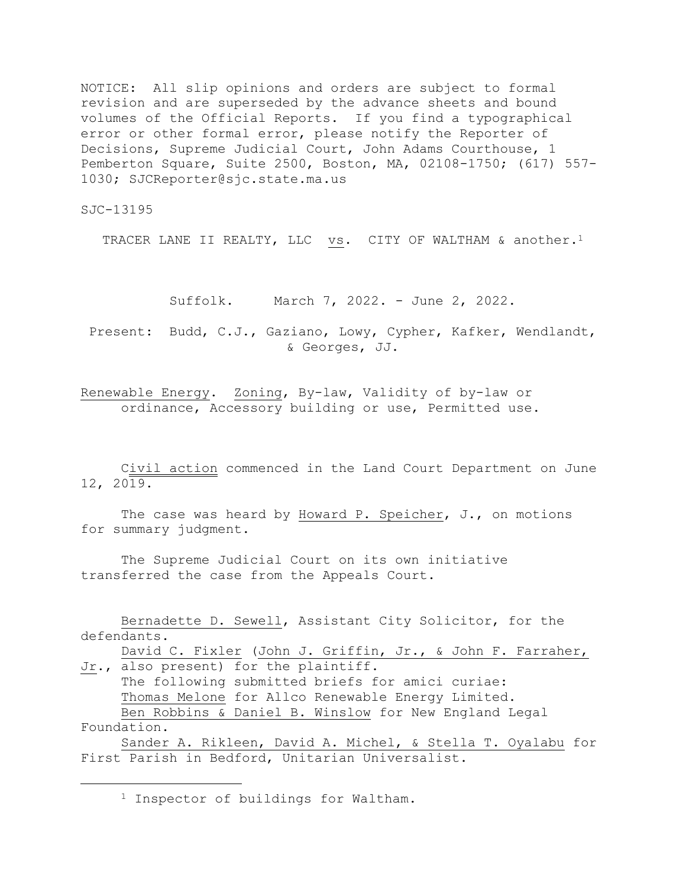NOTICE: All slip opinions and orders are subject to formal revision and are superseded by the advance sheets and bound volumes of the Official Reports. If you find a typographical error or other formal error, please notify the Reporter of Decisions, Supreme Judicial Court, John Adams Courthouse, 1 Pemberton Square, Suite 2500, Boston, MA, 02108-1750; (617) 557- 1030; SJCReporter@sjc.state.ma.us

SJC-13195

TRACER LANE II REALTY, LLC vs. CITY OF WALTHAM & another.<sup>1</sup>

Suffolk. March 7, 2022. - June 2, 2022.

Present: Budd, C.J., Gaziano, Lowy, Cypher, Kafker, Wendlandt, & Georges, JJ.

Renewable Energy. Zoning, By-law, Validity of by-law or ordinance, Accessory building or use, Permitted use.

Civil action commenced in the Land Court Department on June 12, 2019.

The case was heard by Howard P. Speicher, J., on motions for summary judgment.

The Supreme Judicial Court on its own initiative transferred the case from the Appeals Court.

Bernadette D. Sewell, Assistant City Solicitor, for the defendants.

David C. Fixler (John J. Griffin, Jr., & John F. Farraher, Jr., also present) for the plaintiff.

The following submitted briefs for amici curiae: Thomas Melone for Allco Renewable Energy Limited. Ben Robbins & Daniel B. Winslow for New England Legal Foundation.

Sander A. Rikleen, David A. Michel, & Stella T. Oyalabu for First Parish in Bedford, Unitarian Universalist.

<sup>1</sup> Inspector of buildings for Waltham.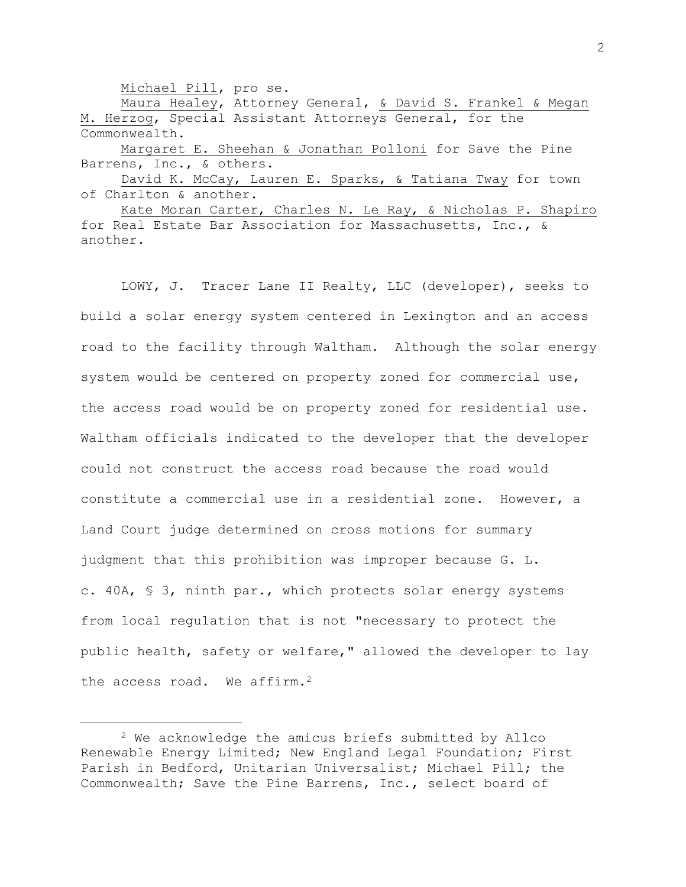Michael Pill, pro se.

Maura Healey, Attorney General, & David S. Frankel & Megan M. Herzog, Special Assistant Attorneys General, for the Commonwealth. Margaret E. Sheehan & Jonathan Polloni for Save the Pine

Barrens, Inc., & others.

David K. McCay, Lauren E. Sparks, & Tatiana Tway for town of Charlton & another.

Kate Moran Carter, Charles N. Le Ray, & Nicholas P. Shapiro for Real Estate Bar Association for Massachusetts, Inc., & another.

LOWY, J. Tracer Lane II Realty, LLC (developer), seeks to build a solar energy system centered in Lexington and an access road to the facility through Waltham. Although the solar energy system would be centered on property zoned for commercial use, the access road would be on property zoned for residential use. Waltham officials indicated to the developer that the developer could not construct the access road because the road would constitute a commercial use in a residential zone. However, a Land Court judge determined on cross motions for summary judgment that this prohibition was improper because G. L. c. 40A, § 3, ninth par., which protects solar energy systems from local regulation that is not "necessary to protect the public health, safety or welfare," allowed the developer to lay the access road. We affirm.<sup>2</sup>

<sup>2</sup> We acknowledge the amicus briefs submitted by Allco Renewable Energy Limited; New England Legal Foundation; First Parish in Bedford, Unitarian Universalist; Michael Pill; the Commonwealth; Save the Pine Barrens, Inc., select board of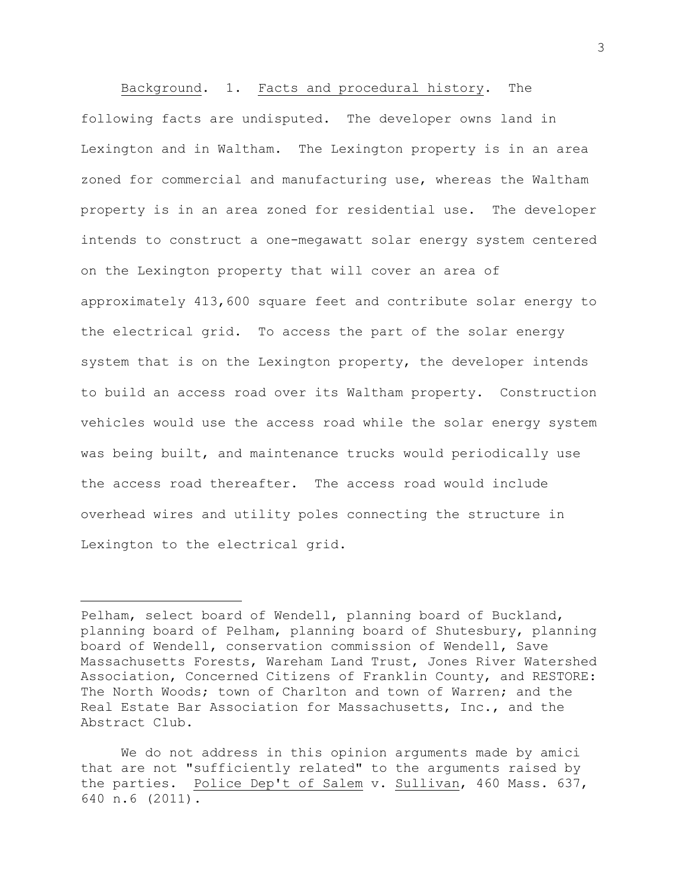Background. 1. Facts and procedural history. The following facts are undisputed. The developer owns land in Lexington and in Waltham. The Lexington property is in an area zoned for commercial and manufacturing use, whereas the Waltham property is in an area zoned for residential use. The developer intends to construct a one-megawatt solar energy system centered on the Lexington property that will cover an area of approximately 413,600 square feet and contribute solar energy to the electrical grid. To access the part of the solar energy system that is on the Lexington property, the developer intends to build an access road over its Waltham property. Construction vehicles would use the access road while the solar energy system was being built, and maintenance trucks would periodically use the access road thereafter. The access road would include overhead wires and utility poles connecting the structure in Lexington to the electrical grid.

Pelham, select board of Wendell, planning board of Buckland, planning board of Pelham, planning board of Shutesbury, planning board of Wendell, conservation commission of Wendell, Save Massachusetts Forests, Wareham Land Trust, Jones River Watershed Association, Concerned Citizens of Franklin County, and RESTORE: The North Woods; town of Charlton and town of Warren; and the Real Estate Bar Association for Massachusetts, Inc., and the Abstract Club.

We do not address in this opinion arguments made by amici that are not "sufficiently related" to the arguments raised by the parties. Police Dep't of Salem v. Sullivan, 460 Mass. 637, 640 n.6 (2011).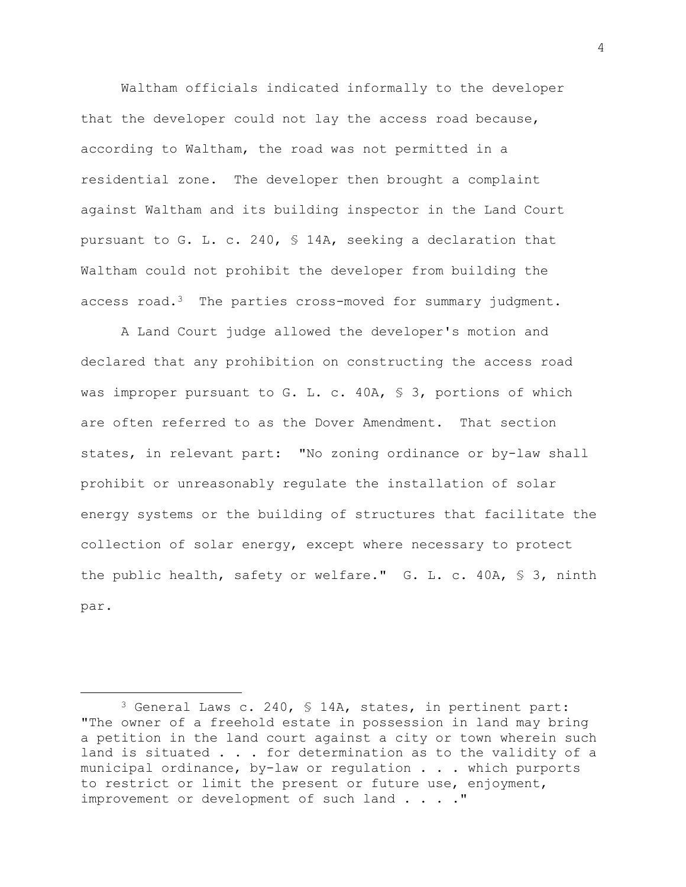Waltham officials indicated informally to the developer that the developer could not lay the access road because, according to Waltham, the road was not permitted in a residential zone. The developer then brought a complaint against Waltham and its building inspector in the Land Court pursuant to G. L. c. 240, § 14A, seeking a declaration that Waltham could not prohibit the developer from building the access road.<sup>3</sup> The parties cross-moved for summary judgment.

A Land Court judge allowed the developer's motion and declared that any prohibition on constructing the access road was improper pursuant to G. L. c. 40A, § 3, portions of which are often referred to as the Dover Amendment. That section states, in relevant part: "No zoning ordinance or by-law shall prohibit or unreasonably regulate the installation of solar energy systems or the building of structures that facilitate the collection of solar energy, except where necessary to protect the public health, safety or welfare." G. L. c. 40A, § 3, ninth par.

<sup>3</sup> General Laws c. 240, § 14A, states, in pertinent part: "The owner of a freehold estate in possession in land may bring a petition in the land court against a city or town wherein such land is situated . . . for determination as to the validity of a municipal ordinance, by-law or regulation . . . which purports to restrict or limit the present or future use, enjoyment, improvement or development of such land . . . ."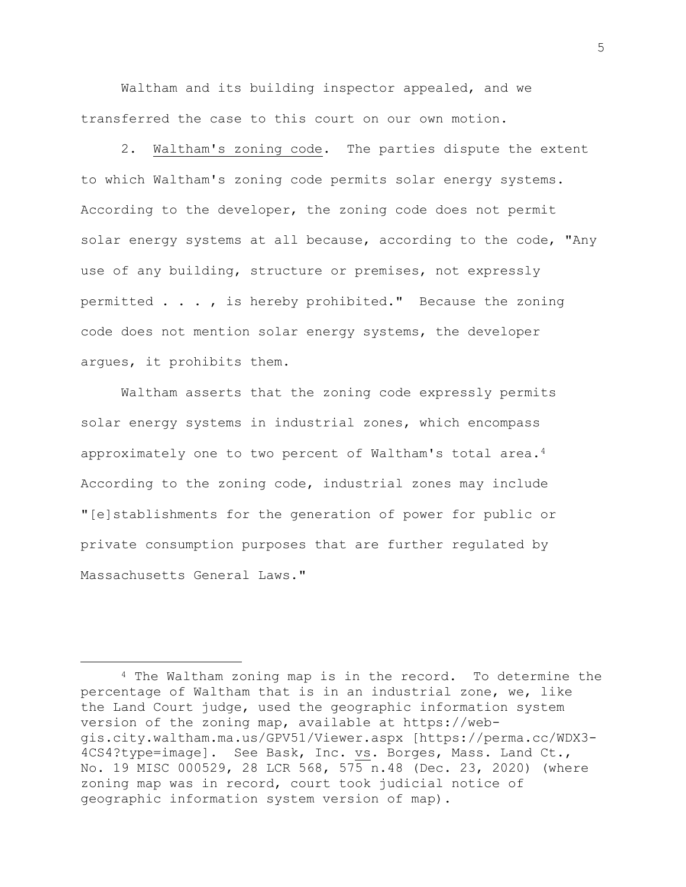Waltham and its building inspector appealed, and we transferred the case to this court on our own motion.

2. Waltham's zoning code. The parties dispute the extent to which Waltham's zoning code permits solar energy systems. According to the developer, the zoning code does not permit solar energy systems at all because, according to the code, "Any use of any building, structure or premises, not expressly permitted . . . , is hereby prohibited." Because the zoning code does not mention solar energy systems, the developer argues, it prohibits them.

Waltham asserts that the zoning code expressly permits solar energy systems in industrial zones, which encompass approximately one to two percent of Waltham's total area.<sup>4</sup> According to the zoning code, industrial zones may include "[e]stablishments for the generation of power for public or private consumption purposes that are further regulated by Massachusetts General Laws."

5

<sup>4</sup> The Waltham zoning map is in the record. To determine the percentage of Waltham that is in an industrial zone, we, like the Land Court judge, used the geographic information system version of the zoning map, available at https://webgis.city.waltham.ma.us/GPV51/Viewer.aspx [https://perma.cc/WDX3- 4CS4?type=image]. See Bask, Inc. vs. Borges, Mass. Land Ct., No. 19 MISC 000529, 28 LCR 568, 575 n.48 (Dec. 23, 2020) (where zoning map was in record, court took judicial notice of geographic information system version of map).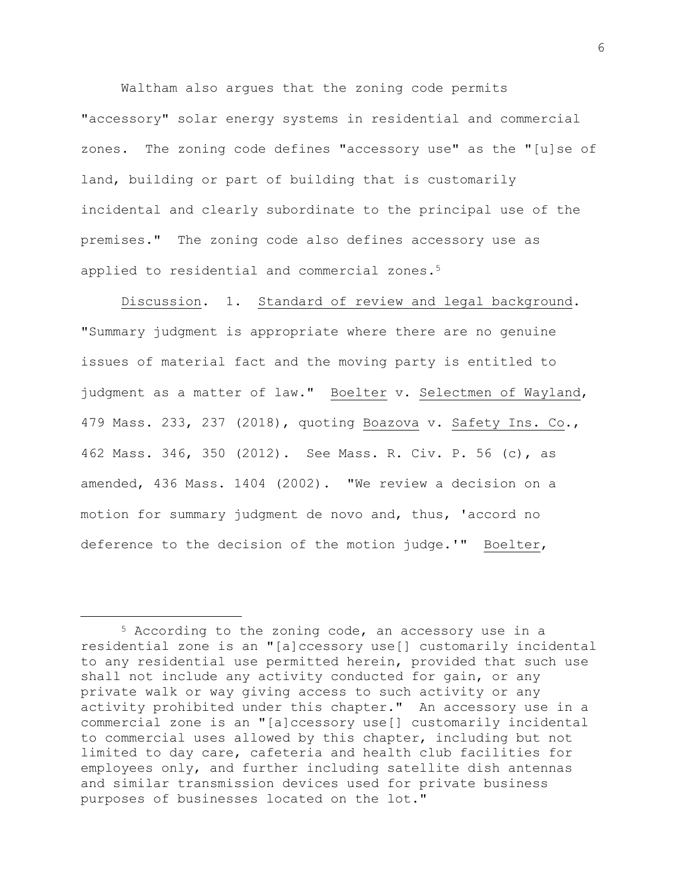Waltham also argues that the zoning code permits "accessory" solar energy systems in residential and commercial zones. The zoning code defines "accessory use" as the "[u]se of land, building or part of building that is customarily incidental and clearly subordinate to the principal use of the premises." The zoning code also defines accessory use as applied to residential and commercial zones.<sup>5</sup>

Discussion. 1. Standard of review and legal background. "Summary judgment is appropriate where there are no genuine issues of material fact and the moving party is entitled to judgment as a matter of law." Boelter v. Selectmen of Wayland, 479 Mass. 233, 237 (2018), quoting Boazova v. Safety Ins. Co., 462 Mass. 346, 350 (2012). See Mass. R. Civ. P. 56 (c), as amended, 436 Mass. 1404 (2002). "We review a decision on a motion for summary judgment de novo and, thus, 'accord no deference to the decision of the motion judge.'" Boelter,

<sup>5</sup> According to the zoning code, an accessory use in a residential zone is an "[a]ccessory use[] customarily incidental to any residential use permitted herein, provided that such use shall not include any activity conducted for gain, or any private walk or way giving access to such activity or any activity prohibited under this chapter." An accessory use in a commercial zone is an "[a]ccessory use[] customarily incidental to commercial uses allowed by this chapter, including but not limited to day care, cafeteria and health club facilities for employees only, and further including satellite dish antennas and similar transmission devices used for private business purposes of businesses located on the lot."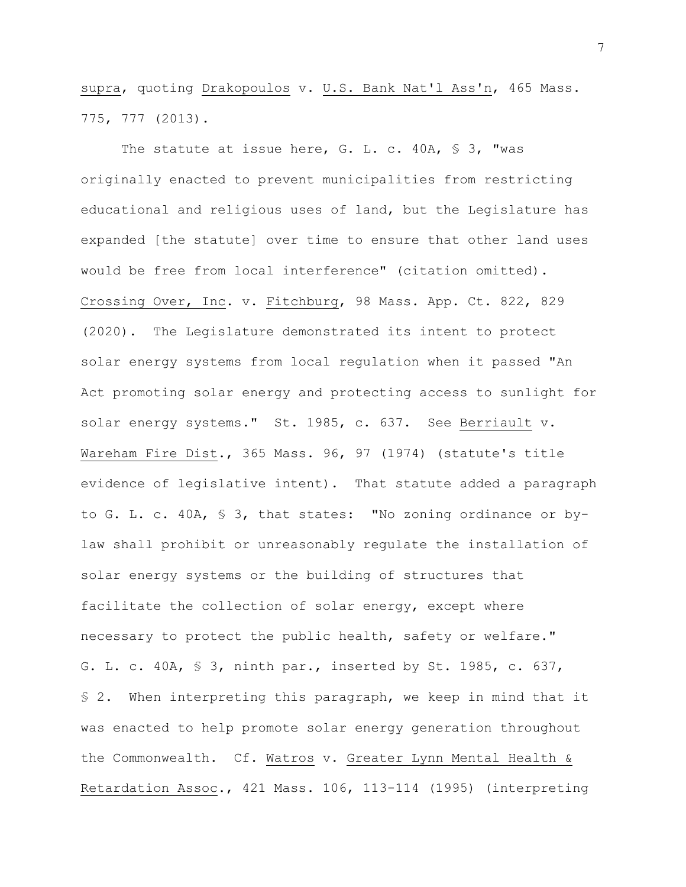supra, quoting Drakopoulos v. U.S. Bank Nat'l Ass'n, 465 Mass. 775, 777 (2013).

The statute at issue here, G. L. c. 40A, § 3, "was originally enacted to prevent municipalities from restricting educational and religious uses of land, but the Legislature has expanded [the statute] over time to ensure that other land uses would be free from local interference" (citation omitted). Crossing Over, Inc. v. Fitchburg, 98 Mass. App. Ct. 822, 829 (2020). The Legislature demonstrated its intent to protect solar energy systems from local regulation when it passed "An Act promoting solar energy and protecting access to sunlight for solar energy systems." St. 1985, c. 637. See Berriault v. Wareham Fire Dist., 365 Mass. 96, 97 (1974) (statute's title evidence of legislative intent). That statute added a paragraph to G. L. c. 40A, § 3, that states: "No zoning ordinance or bylaw shall prohibit or unreasonably regulate the installation of solar energy systems or the building of structures that facilitate the collection of solar energy, except where necessary to protect the public health, safety or welfare." G. L. c. 40A, § 3, ninth par., inserted by St. 1985, c. 637, § 2. When interpreting this paragraph, we keep in mind that it was enacted to help promote solar energy generation throughout the Commonwealth. Cf. Watros v. Greater Lynn Mental Health & Retardation Assoc., 421 Mass. 106, 113-114 (1995) (interpreting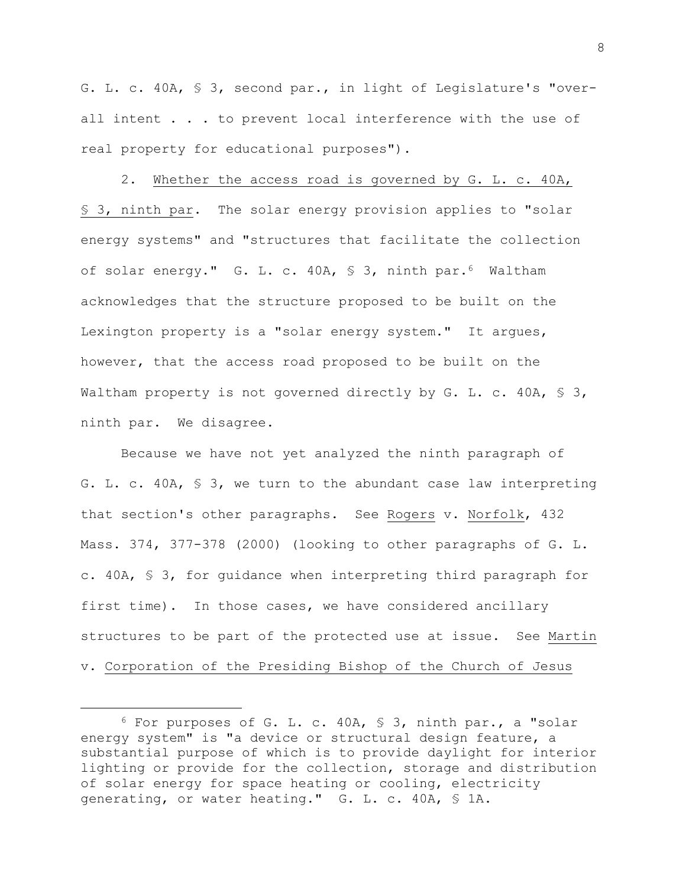G. L. c. 40A, § 3, second par., in light of Legislature's "overall intent . . . to prevent local interference with the use of real property for educational purposes").

2. Whether the access road is governed by G. L. c. 40A, § 3, ninth par. The solar energy provision applies to "solar energy systems" and "structures that facilitate the collection of solar energy." G. L. c. 40A, § 3, ninth par.6 Waltham acknowledges that the structure proposed to be built on the Lexington property is a "solar energy system." It argues, however, that the access road proposed to be built on the Waltham property is not governed directly by G. L. c. 40A,  $\frac{1}{5}$  3, ninth par. We disagree.

Because we have not yet analyzed the ninth paragraph of G. L. c. 40A, § 3, we turn to the abundant case law interpreting that section's other paragraphs. See Rogers v. Norfolk, 432 Mass. 374, 377-378 (2000) (looking to other paragraphs of G. L. c. 40A, § 3, for guidance when interpreting third paragraph for first time). In those cases, we have considered ancillary structures to be part of the protected use at issue. See Martin v. Corporation of the Presiding Bishop of the Church of Jesus

<sup>6</sup> For purposes of G. L. c. 40A, § 3, ninth par., a "solar energy system" is "a device or structural design feature, a substantial purpose of which is to provide daylight for interior lighting or provide for the collection, storage and distribution of solar energy for space heating or cooling, electricity generating, or water heating." G. L. c. 40A, § 1A.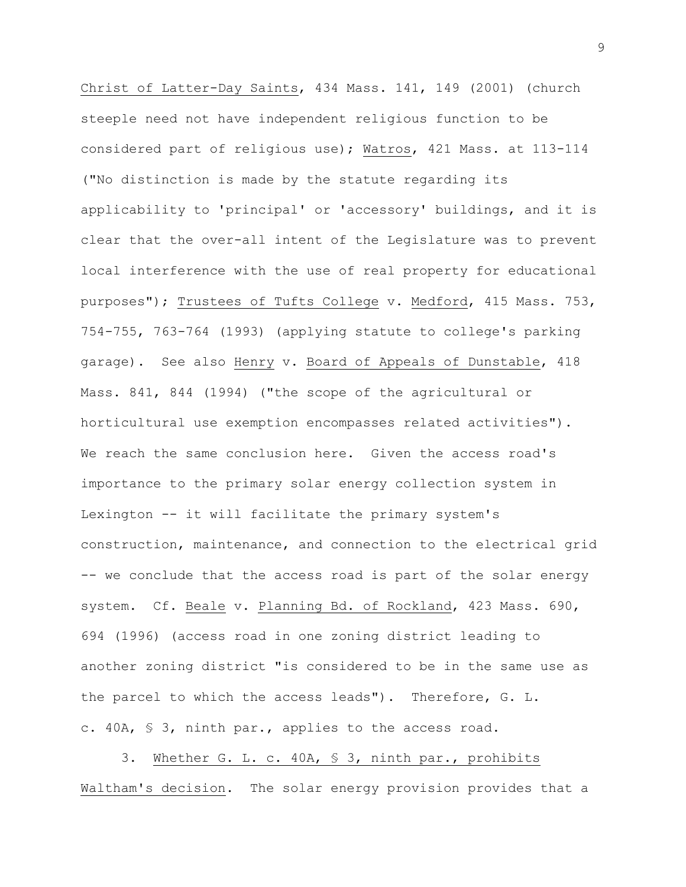Christ of Latter-Day Saints, 434 Mass. 141, 149 (2001) (church steeple need not have independent religious function to be considered part of religious use); Watros, 421 Mass. at 113-114 ("No distinction is made by the statute regarding its applicability to 'principal' or 'accessory' buildings, and it is clear that the over-all intent of the Legislature was to prevent local interference with the use of real property for educational purposes"); Trustees of Tufts College v. Medford, 415 Mass. 753, 754-755, 763-764 (1993) (applying statute to college's parking garage). See also Henry v. Board of Appeals of Dunstable, 418 Mass. 841, 844 (1994) ("the scope of the agricultural or horticultural use exemption encompasses related activities"). We reach the same conclusion here. Given the access road's importance to the primary solar energy collection system in Lexington -- it will facilitate the primary system's construction, maintenance, and connection to the electrical grid -- we conclude that the access road is part of the solar energy system. Cf. Beale v. Planning Bd. of Rockland, 423 Mass. 690, 694 (1996) (access road in one zoning district leading to another zoning district "is considered to be in the same use as the parcel to which the access leads"). Therefore, G. L. c. 40A, § 3, ninth par., applies to the access road.

3. Whether G. L. c. 40A, § 3, ninth par., prohibits Waltham's decision. The solar energy provision provides that a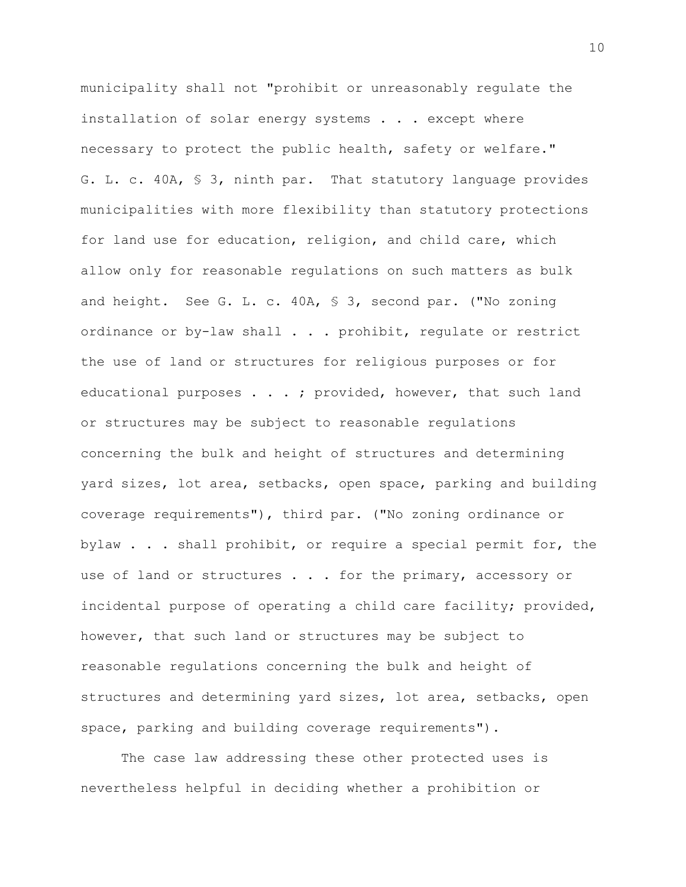municipality shall not "prohibit or unreasonably regulate the installation of solar energy systems . . . except where necessary to protect the public health, safety or welfare." G. L. c. 40A, § 3, ninth par. That statutory language provides municipalities with more flexibility than statutory protections for land use for education, religion, and child care, which allow only for reasonable regulations on such matters as bulk and height. See G. L. c. 40A, § 3, second par. ("No zoning ordinance or by-law shall . . . prohibit, regulate or restrict the use of land or structures for religious purposes or for educational purposes . . . ; provided, however, that such land or structures may be subject to reasonable regulations concerning the bulk and height of structures and determining yard sizes, lot area, setbacks, open space, parking and building coverage requirements"), third par. ("No zoning ordinance or bylaw . . . shall prohibit, or require a special permit for, the use of land or structures . . . for the primary, accessory or incidental purpose of operating a child care facility; provided, however, that such land or structures may be subject to reasonable regulations concerning the bulk and height of structures and determining yard sizes, lot area, setbacks, open space, parking and building coverage requirements").

The case law addressing these other protected uses is nevertheless helpful in deciding whether a prohibition or

10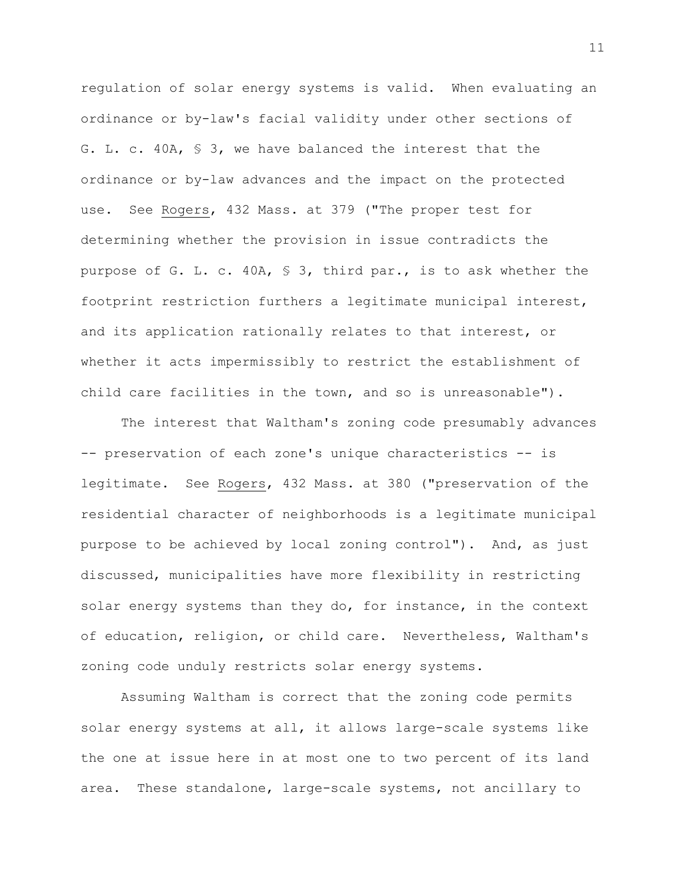regulation of solar energy systems is valid. When evaluating an ordinance or by-law's facial validity under other sections of G. L. c. 40A, § 3, we have balanced the interest that the ordinance or by-law advances and the impact on the protected use. See Rogers, 432 Mass. at 379 ("The proper test for determining whether the provision in issue contradicts the purpose of G. L. c. 40A, § 3, third par., is to ask whether the footprint restriction furthers a legitimate municipal interest, and its application rationally relates to that interest, or whether it acts impermissibly to restrict the establishment of child care facilities in the town, and so is unreasonable").

The interest that Waltham's zoning code presumably advances -- preservation of each zone's unique characteristics -- is legitimate. See Rogers, 432 Mass. at 380 ("preservation of the residential character of neighborhoods is a legitimate municipal purpose to be achieved by local zoning control"). And, as just discussed, municipalities have more flexibility in restricting solar energy systems than they do, for instance, in the context of education, religion, or child care. Nevertheless, Waltham's zoning code unduly restricts solar energy systems.

Assuming Waltham is correct that the zoning code permits solar energy systems at all, it allows large-scale systems like the one at issue here in at most one to two percent of its land area. These standalone, large-scale systems, not ancillary to

11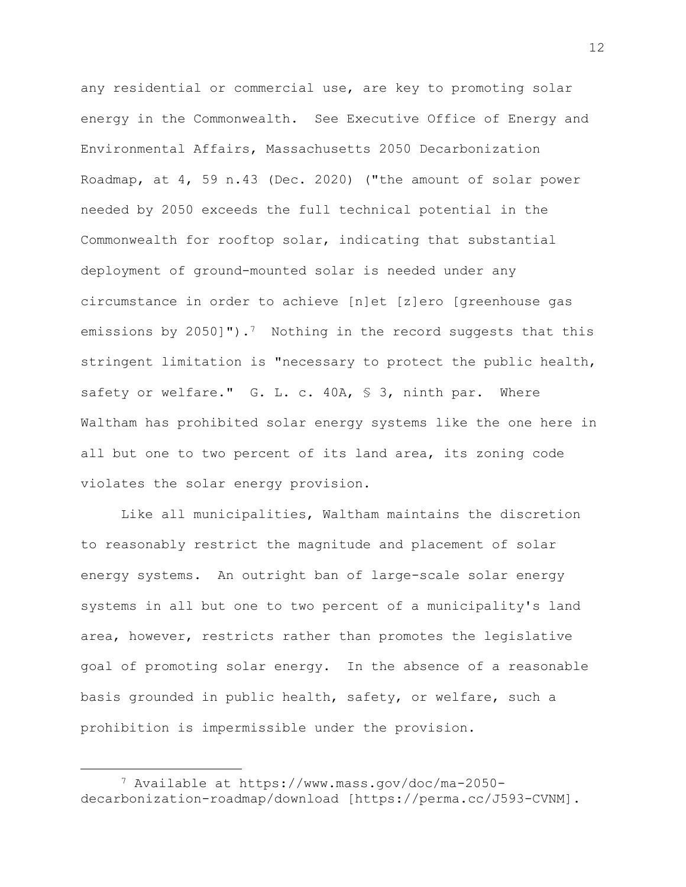any residential or commercial use, are key to promoting solar energy in the Commonwealth. See Executive Office of Energy and Environmental Affairs, Massachusetts 2050 Decarbonization Roadmap, at 4, 59 n.43 (Dec. 2020) ("the amount of solar power needed by 2050 exceeds the full technical potential in the Commonwealth for rooftop solar, indicating that substantial deployment of ground-mounted solar is needed under any circumstance in order to achieve [n]et [z]ero [greenhouse gas emissions by 2050]").<sup>7</sup> Nothing in the record suggests that this stringent limitation is "necessary to protect the public health, safety or welfare." G. L. c. 40A, § 3, ninth par. Where Waltham has prohibited solar energy systems like the one here in all but one to two percent of its land area, its zoning code violates the solar energy provision.

Like all municipalities, Waltham maintains the discretion to reasonably restrict the magnitude and placement of solar energy systems. An outright ban of large-scale solar energy systems in all but one to two percent of a municipality's land area, however, restricts rather than promotes the legislative goal of promoting solar energy. In the absence of a reasonable basis grounded in public health, safety, or welfare, such a prohibition is impermissible under the provision.

<sup>7</sup> Available at https://www.mass.gov/doc/ma-2050 decarbonization-roadmap/download [https://perma.cc/J593-CVNM].